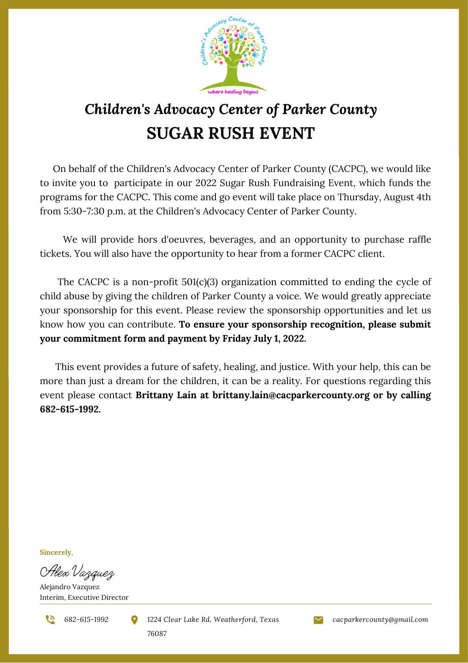

## *Children's Advocacy Center of Parker County* **SUGAR RUSH EVENT**

On behalf of the Children's Advocacy Center of Parker County (CACPC), we would like to invite you to participate in our 2022 Sugar Rush Fundraising Event, which funds the programs for the CACPC. This come and go event will take place on Thursday, August 4th from 5:30-7:30 p.m. at the Children's Advocacy Center of Parker County.

We will provide hors [d'oeuvres](https://www.bing.com/search?q=hors+d%27oeuvres&FORM=AWRE), beverages, and an opportunity to purchase raffle tickets. You will also have the opportunity to hear from a former CACPC client.

The CACPC is a non-profit 501(c)(3) organization committed to ending the cycle of child abuse by giving the children of Parker County a voice. We would greatly appreciate your sponsorship for this event. Please review the sponsorship opportunities and let us know how you can contribute. **To ensure your sponsorship recognition, please submit your commitment form and payment by Friday July 1, 2022.**

This event provides a future of safety, healing, and justice. With your help, this can be more than just a dream for the children, it can be a reality. For questions regarding this event please contact **Brittany Lain at brittany.lain@cacparkercounty.org or by calling 682-615-1992.**

**Sincerely,**

Alex Vazquez

Alejandro Vazquez Interim, Executive Director

*682-615-1992 1224 Clear Lake Rd, Weatherford, Texas cacparkercounty@gmail.com 76087*